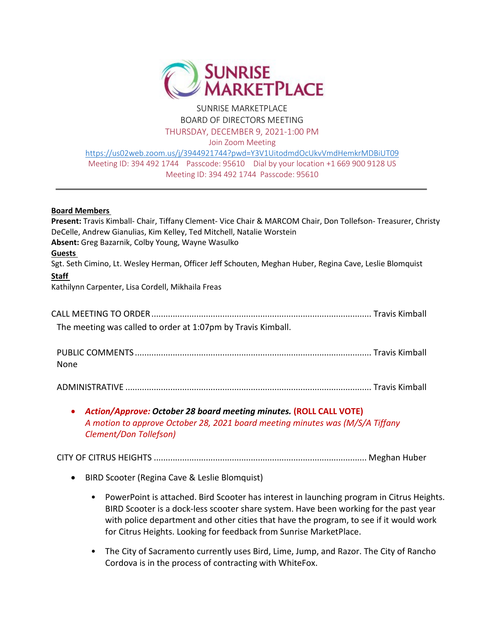

## SUNRISE MARKETPLACE BOARD OF DIRECTORS MEETING THURSDAY, DECEMBER 9, 2021-1:00 PM

Join Zoom Meeting

<https://us02web.zoom.us/j/3944921744?pwd=Y3V1UitodmdOcUkvVmdHemkrMDBiUT09> Meeting ID: 394 492 1744 Passcode: 95610 Dial by your location +1 669 900 9128 US Meeting ID: 394 492 1744 Passcode: 95610

## **Board Members**

**Present:** Travis Kimball- Chair, Tiffany Clement- Vice Chair & MARCOM Chair, Don Tollefson- Treasurer, Christy DeCelle, Andrew Gianulias, Kim Kelley, Ted Mitchell, Natalie Worstein **Absent:** Greg Bazarnik, Colby Young, Wayne Wasulko **Guests**  Sgt. Seth Cimino, Lt. Wesley Herman, Officer Jeff Schouten, Meghan Huber, Regina Cave, Leslie Blomquist **Staff**  Kathilynn Carpenter, Lisa Cordell, Mikhaila Freas CALL MEETING TO ORDER............................................................................................. Travis Kimball The meeting was called to order at 1:07pm by Travis Kimball. PUBLIC COMMENTS .................................................................................................... Travis Kimball None ADMINISTRATIVE ........................................................................................................ Travis Kimball

## • *Action/Approve: October 28 board meeting minutes.* **(ROLL CALL VOTE)** *A motion to approve October 28, 2021 board meeting minutes was (M/S/A Tiffany Clement/Don Tollefson)*

CITY OF CITRUS HEIGHTS .......................................................................................... Meghan Huber

- BIRD Scooter (Regina Cave & Leslie Blomquist)
	- PowerPoint is attached. Bird Scooter has interest in launching program in Citrus Heights. BIRD Scooter is a dock-less scooter share system. Have been working for the past year with police department and other cities that have the program, to see if it would work for Citrus Heights. Looking for feedback from Sunrise MarketPlace.
	- The City of Sacramento currently uses Bird, Lime, Jump, and Razor. The City of Rancho Cordova is in the process of contracting with WhiteFox.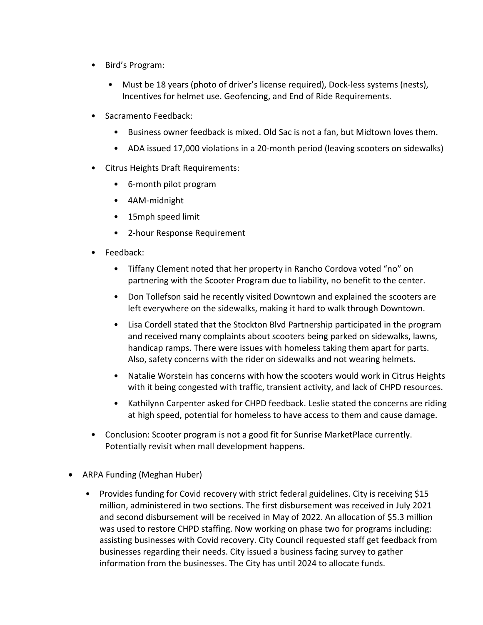- Bird's Program:
	- Must be 18 years (photo of driver's license required), Dock-less systems (nests), Incentives for helmet use. Geofencing, and End of Ride Requirements.
- Sacramento Feedback:
	- Business owner feedback is mixed. Old Sac is not a fan, but Midtown loves them.
	- ADA issued 17,000 violations in a 20-month period (leaving scooters on sidewalks)
- Citrus Heights Draft Requirements:
	- 6-month pilot program
	- 4AM-midnight
	- 15mph speed limit
	- 2-hour Response Requirement
- Feedback:
	- Tiffany Clement noted that her property in Rancho Cordova voted "no" on partnering with the Scooter Program due to liability, no benefit to the center.
	- Don Tollefson said he recently visited Downtown and explained the scooters are left everywhere on the sidewalks, making it hard to walk through Downtown.
	- Lisa Cordell stated that the Stockton Blvd Partnership participated in the program and received many complaints about scooters being parked on sidewalks, lawns, handicap ramps. There were issues with homeless taking them apart for parts. Also, safety concerns with the rider on sidewalks and not wearing helmets.
	- Natalie Worstein has concerns with how the scooters would work in Citrus Heights with it being congested with traffic, transient activity, and lack of CHPD resources.
	- Kathilynn Carpenter asked for CHPD feedback. Leslie stated the concerns are riding at high speed, potential for homeless to have access to them and cause damage.
- Conclusion: Scooter program is not a good fit for Sunrise MarketPlace currently. Potentially revisit when mall development happens.
- ARPA Funding (Meghan Huber)
	- Provides funding for Covid recovery with strict federal guidelines. City is receiving \$15 million, administered in two sections. The first disbursement was received in July 2021 and second disbursement will be received in May of 2022. An allocation of \$5.3 million was used to restore CHPD staffing. Now working on phase two for programs including: assisting businesses with Covid recovery. City Council requested staff get feedback from businesses regarding their needs. City issued a business facing survey to gather information from the businesses. The City has until 2024 to allocate funds.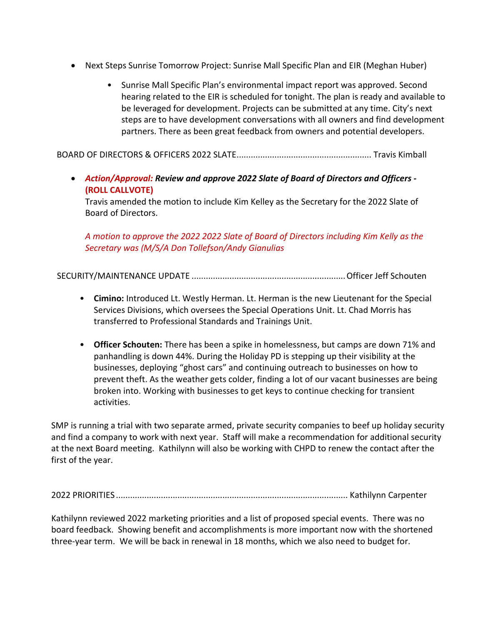- Next Steps Sunrise Tomorrow Project: Sunrise Mall Specific Plan and EIR (Meghan Huber)
	- Sunrise Mall Specific Plan's environmental impact report was approved. Second hearing related to the EIR is scheduled for tonight. The plan is ready and available to be leveraged for development. Projects can be submitted at any time. City's next steps are to have development conversations with all owners and find development partners. There as been great feedback from owners and potential developers.

BOARD OF DIRECTORS & OFFICERS 2022 SLATE......................................................... Travis Kimball

• *Action/Approval: Review and approve 2022 Slate of Board of Directors and Officers -* **(ROLL CALLVOTE)**

Travis amended the motion to include Kim Kelley as the Secretary for the 2022 Slate of Board of Directors.

*A motion to approve the 2022 2022 Slate of Board of Directors including Kim Kelly as the Secretary was (M/S/A Don Tollefson/Andy Gianulias* 

SECURITY/MAINTENANCE UPDATE .................................................................Officer Jeff Schouten

- **Cimino:** Introduced Lt. Westly Herman. Lt. Herman is the new Lieutenant for the Special Services Divisions, which oversees the Special Operations Unit. Lt. Chad Morris has transferred to Professional Standards and Trainings Unit.
- **Officer Schouten:** There has been a spike in homelessness, but camps are down 71% and panhandling is down 44%. During the Holiday PD is stepping up their visibility at the businesses, deploying "ghost cars" and continuing outreach to businesses on how to prevent theft. As the weather gets colder, finding a lot of our vacant businesses are being broken into. Working with businesses to get keys to continue checking for transient activities.

SMP is running a trial with two separate armed, private security companies to beef up holiday security and find a company to work with next year. Staff will make a recommendation for additional security at the next Board meeting. Kathilynn will also be working with CHPD to renew the contact after the first of the year.

2022 PRIORITIES .................................................................................................. Kathilynn Carpenter

Kathilynn reviewed 2022 marketing priorities and a list of proposed special events. There was no board feedback. Showing benefit and accomplishments is more important now with the shortened three-year term. We will be back in renewal in 18 months, which we also need to budget for.